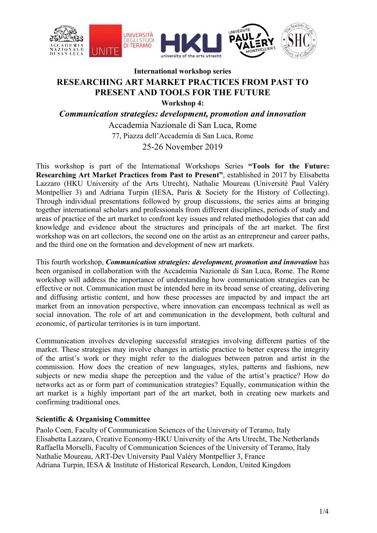

# **International workshop series RESEARCHING ART MARKET PRACTICES FROM PAST TO PRESENT AND TOOLS FOR THE FUTURE**

**Workshop 4:**

*Communication strategies: development, promotion and innovation*

Accademia Nazionale di San Luca, Rome 77, Piazza dell'Accademia di San Luca, Rome 25-26 November 2019

This workshop is part of the International Workshops Series **"Tools for the Future: Researching Art Market Practices from Past to Present"**, established in 2017 by Elisabetta Lazzaro (HKU University of the Arts Utrecht), Nathalie Moureau (Université Paul Valéry Montpellier 3) and Adriana Turpin (IESA, Paris & Society for the History of Collecting). Through individual presentations followed by group discussions, the series aims at bringing together international scholars and professionals from different disciplines, periods of study and areas of practice of the art market to confront key issues and related methodologies that can add knowledge and evidence about the structures and principals of the art market. The first workshop was on art collectors, the second one on the artist as an entrepreneur and career paths, and the third one on the formation and development of new art markets.

This fourth workshop, *Communication strategies: development, promotion and innovation* has been organised in collaboration with the Accademia Nazionale di San Luca, Rome. The Rome workshop will address the importance of understanding how communication strategies can be effective or not. Communication must be intended here in its broad sense of creating, delivering and diffusing artistic content, and how these processes are impacted by and impact the art market from an innovation perspective, where innovation can encompass technical as well as social innovation. The role of art and communication in the development, both cultural and economic, of particular territories is in turn important.

Communication involves developing successful strategies involving different parties of the market. These strategies may involve changes in artistic practice to better express the integrity of the artist's work or they might refer to the dialogues between patron and artist in the commission. How does the creation of new languages, styles, patterns and fashions, new subjects or new media shape the perception and the value of the artist's practice? How do networks act as or form part of communication strategies? Equally, communication within the art market is a highly important part of the art market, both in creating new markets and confirming traditional ones.

# **Scientific & Organising Committee**

Paolo Coen, Faculty of Communication Sciences of the University of Teramo, Italy Elisabetta Lazzaro, Creative Economy-HKU University of the Arts Utrecht, The Netherlands Raffaella Morselli, Faculty of Communication Sciences of the University of Teramo, Italy Nathalie Moureau, ART-Dev University Paul Valéry Montpellier 3, France Adriana Turpin, IESA & Institute of Historical Research, London, United Kingdom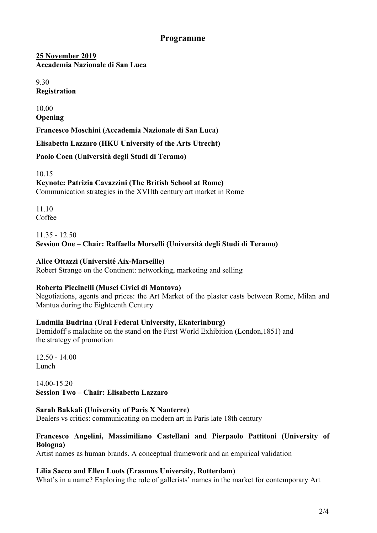# **Programme**

**25 November 2019 Accademia Nazionale di San Luca**

9.30 **Registration**

10.00 **Opening**

**Francesco Moschini (Accademia Nazionale di San Luca)** 

**Elisabetta Lazzaro (HKU University of the Arts Utrecht)**

**Paolo Coen (Università degli Studi di Teramo)**

10.15 **Keynote: Patrizia Cavazzini (The British School at Rome)** Communication strategies in the XVIIth century art market in Rome

11.10 Coffee

# 11.35 - 12.50 **Session One – Chair: Raffaella Morselli (Università degli Studi di Teramo)**

# **Alice Ottazzi (Université Aix-Marseille)**

Robert Strange on the Continent: networking, marketing and selling

# **Roberta Piccinelli (Musei Civici di Mantova)**

Negotiations, agents and prices: the Art Market of the plaster casts between Rome, Milan and Mantua during the Eighteenth Century

# **Ludmila Budrina (Ural Federal University, Ekaterinburg)**

Demidoff's malachite on the stand on the First World Exhibition (London,1851) and the strategy of promotion

12.50 - 14.00 Lunch

14.00-15.20 **Session Two – Chair: Elisabetta Lazzaro**

# **Sarah Bakkali (University of Paris X Nanterre)**

Dealers vs critics: communicating on modern art in Paris late 18th century

# **Francesco Angelini, Massimiliano Castellani and Pierpaolo Pattitoni (University of Bologna)**

Artist names as human brands. A conceptual framework and an empirical validation

# **Lilia Sacco and Ellen Loots (Erasmus University, Rotterdam)**

What's in a name? Exploring the role of gallerists' names in the market for contemporary Art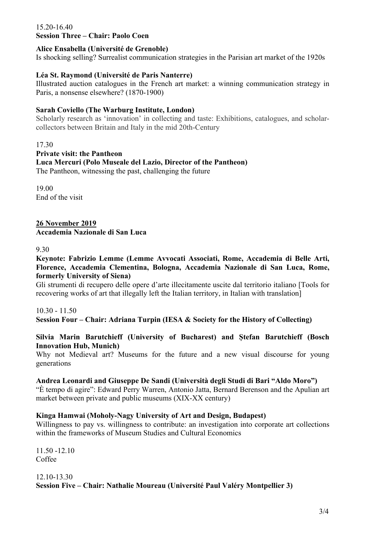#### 15.20-16.40 **Session Three – Chair: Paolo Coen**

# **Alice Ensabella (Université de Grenoble)**

Is shocking selling? Surrealist communication strategies in the Parisian art market of the 1920s

# **Léa St. Raymond (Université de Paris Nanterre)**

Illustrated auction catalogues in the French art market: a winning communication strategy in Paris, a nonsense elsewhere? (1870-1900)

# **Sarah Coviello (The Warburg Institute, London)**

Scholarly research as 'innovation' in collecting and taste: Exhibitions, catalogues, and scholarcollectors between Britain and Italy in the mid 20th-Century

17.30

**Private visit: the Pantheon Luca Mercuri (Polo Museale del Lazio, Director of the Pantheon)** The Pantheon, witnessing the past, challenging the future

19.00 End of the visit

**26 November 2019 Accademia Nazionale di San Luca**

9.30

**Keynote: Fabrizio Lemme (Lemme Avvocati Associati, Rome, Accademia di Belle Arti, Florence, Accademia Clementina, Bologna, Accademia Nazionale di San Luca, Rome, formerly University of Siena)**

Gli strumenti di recupero delle opere d'arte illecitamente uscite dal territorio italiano [Tools for recovering works of art that illegally left the Italian territory, in Italian with translation]

10.30 - 11.50 **Session Four – Chair: Adriana Turpin (IESA & Society for the History of Collecting)**

#### **Silvia Marin Barutchieff (University of Bucharest) and Ștefan Barutchieff (Bosch Innovation Hub, Munich)**

Why not Medieval art? Museums for the future and a new visual discourse for young generations

# **Andrea Leonardi and Giuseppe De Sandi (Università degli Studi di Bari "Aldo Moro")**

"È tempo di agire": Edward Perry Warren, Antonio Jatta, Bernard Berenson and the Apulian art market between private and public museums (XIX-XX century)

# **Kinga Hamwai (Moholy-Nagy University of Art and Design, Budapest)**

Willingness to pay vs. willingness to contribute: an investigation into corporate art collections within the frameworks of Museum Studies and Cultural Economics

11.50 -12.10 Coffee

# 12.10-13.30 **Session Five – Chair: Nathalie Moureau (Université Paul Valéry Montpellier 3)**